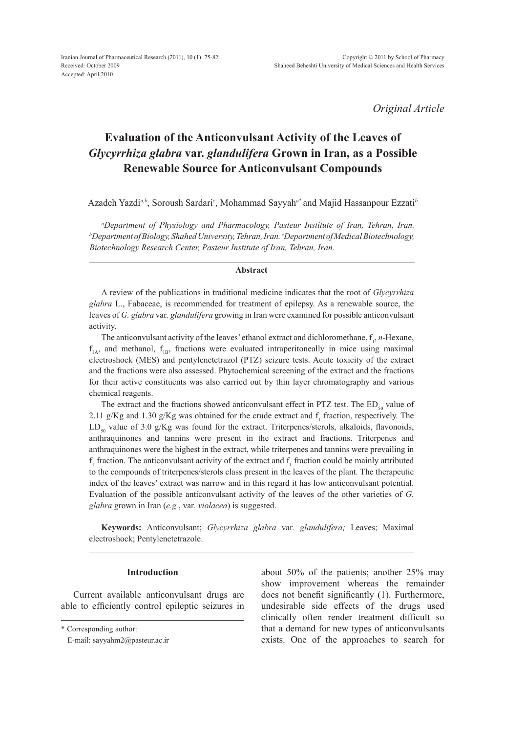*Original Article*

# **Evaluation of the Anticonvulsant Activity of the Leaves of**  *Glycyrrhiza glabra* **var.** *glandulifera* **Grown in Iran, as a Possible Renewable Source for Anticonvulsant Compounds**

Azadeh Yazdi*a,b*, Soroush Sardari*<sup>c</sup>* , Mohammad Sayyah*<sup>a</sup>*\* and Majid Hassanpour Ezzati*<sup>b</sup>*

*a Department of Physiology and Pharmacology, Pasteur Institute of Iran, Tehran, Iran. b Department of Biology, Shahed University, Tehran, Iran. c Department of Medical Biotechnology, Biotechnology Research Center, Pasteur Institute of Iran, Tehran, Iran.*

## **Abstract**

A review of the publications in traditional medicine indicates that the root of *Glycyrrhiza glabra* L., Fabaceae, is recommended for treatment of epilepsy. As a renewable source, the leaves of *G. glabra* var*. glandulifera* growing in Iran were examined for possible anticonvulsant activity.

The anticonvulsant activity of the leaves' ethanol extract and dichloromethane,  $f_1$ , *n*-Hexane,  $f_{1A}$ , and methanol,  $f_{1B}$ , fractions were evaluated intraperitoneally in mice using maximal electroshock (MES) and pentylenetetrazol (PTZ) seizure tests. Acute toxicity of the extract and the fractions were also assessed. Phytochemical screening of the extract and the fractions for their active constituents was also carried out by thin layer chromatography and various chemical reagents.

The extract and the fractions showed anticonvulsant effect in PTZ test. The  $ED<sub>50</sub>$  value of 2.11 g/Kg and 1.30 g/Kg was obtained for the crude extract and  $f_1$  fraction, respectively. The  $LD_{\rm so}$  value of 3.0 g/Kg was found for the extract. Triterpenes/sterols, alkaloids, flavonoids, anthraquinones and tannins were present in the extract and fractions. Triterpenes and anthraquinones were the highest in the extract, while triterpenes and tannins were prevailing in  $f_1$  fraction. The anticonvulsant activity of the extract and  $f_1$  fraction could be mainly attributed to the compounds of triterpenes/sterols class present in the leaves of the plant. The therapeutic index of the leaves' extract was narrow and in this regard it has low anticonvulsant potential. Evaluation of the possible anticonvulsant activity of the leaves of the other varieties of *G. glabra* grown in Iran (*e.g.*, var*. violacea*) is suggested.

**Keywords:** Anticonvulsant; *Glycyrrhiza glabra* var*. glandulifera;* Leaves; Maximal electroshock; Pentylenetetrazole.

## **Introduction**

Current available anticonvulsant drugs are able to efficiently control epileptic seizures in

about 50% of the patients; another 25% may show improvement whereas the remainder does not benefit significantly (1). Furthermore, undesirable side effects of the drugs used clinically often render treatment difficult so that a demand for new types of anticonvulsants exists. One of the approaches to search for

<sup>\*</sup> Corresponding author:

E-mail: sayyahm2@pasteur.ac.ir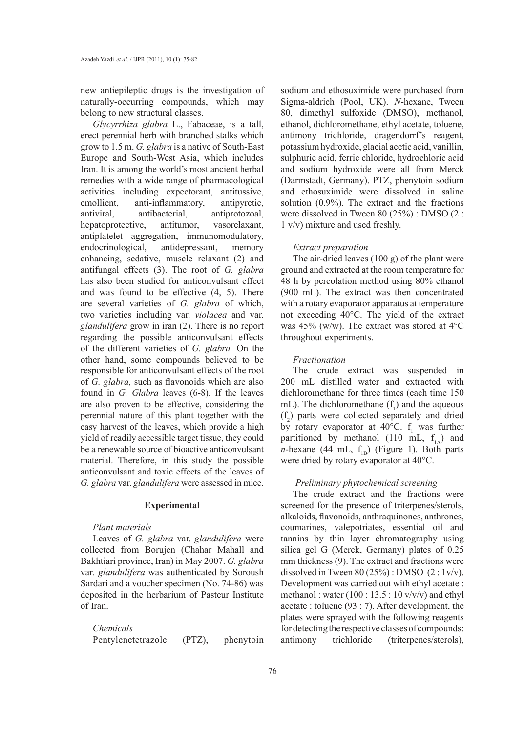new antiepileptic drugs is the investigation of naturally-occurring compounds, which may belong to new structural classes.

*Glycyrrhiza glabra* L., Fabaceae, is a tall, erect perennial herb with branched stalks which grow to 1.5 m. *G. glabra* is a native of South-East Europe and South-West Asia, which includes Iran. It is among the world's most ancient herbal remedies with a wide range of pharmacological activities including expectorant, antitussive, emollient, anti-inflammatory, antipyretic, antiviral, antibacterial, antiprotozoal, hepatoprotective, antitumor, vasorelaxant, antiplatelet aggregation, immunomodulatory, endocrinological, antidepressant, memory enhancing, sedative, muscle relaxant (2) and antifungal effects (3). The root of *G. glabra* has also been studied for anticonvulsant effect and was found to be effective (4, 5). There are several varieties of *G. glabra* of which, two varieties including var. *violacea* and var. *glandulifera* grow in iran (2). There is no report regarding the possible anticonvulsant effects of the different varieties of *G. glabra.* On the other hand, some compounds believed to be responsible for anticonvulsant effects of the root of *G. glabra,* such as flavonoids which are also found in *G. Glabra* leaves (6-8). If the leaves are also proven to be effective, considering the perennial nature of this plant together with the easy harvest of the leaves, which provide a high yield of readily accessible target tissue, they could be a renewable source of bioactive anticonvulsant material. Therefore, in this study the possible anticonvulsant and toxic effects of the leaves of *G. glabra* var. *glandulifera* were assessed in mice.

## **Experimental**

## *Plant materials*

Leaves of *G. glabra* var. *glandulifera* were collected from Borujen (Chahar Mahall and Bakhtiari province, Iran) in May 2007. *G. glabra*  var*. glandulifera* was authenticated by Soroush Sardari and a voucher specimen (No. 74-86) was deposited in the herbarium of Pasteur Institute of Iran.

# *Chemicals*

Pentylenetetrazole (PTZ), phenytoin

sodium and ethosuximide were purchased from Sigma-aldrich (Pool, UK). *N*-hexane, Tween 80, dimethyl sulfoxide (DMSO), methanol, ethanol, dichloromethane, ethyl acetate, toluene, antimony trichloride, dragendorrf's reagent, potassium hydroxide, glacial acetic acid, vanillin, sulphuric acid, ferric chloride, hydrochloric acid and sodium hydroxide were all from Merck (Darmstadt, Germany). PTZ, phenytoin sodium and ethosuximide were dissolved in saline solution (0.9%). The extract and the fractions were dissolved in Tween 80 (25%) : DMSO (2 : 1 v/v) mixture and used freshly.

## *Extract preparation*

The air-dried leaves (100 g) of the plant were ground and extracted at the room temperature for 48 h by percolation method using 80% ethanol (900 mL). The extract was then concentrated with a rotary evaporator apparatus at temperature not exceeding 40°C. The yield of the extract was 45% (w/w). The extract was stored at 4°C throughout experiments.

## *Fractionation*

The crude extract was suspended in 200 mL distilled water and extracted with dichloromethane for three times (each time 150 mL). The dichloromethane  $(f_1)$  and the aqueous  $(f_2)$  parts were collected separately and dried by rotary evaporator at  $40^{\circ}$ C.  $f_1$  was further partitioned by methanol (110 mL,  $f_{1A}$ ) and *n*-hexane (44 mL,  $f_{IB}$ ) (Figure 1). Both parts were dried by rotary evaporator at 40°C.

## *Preliminary phytochemical screening*

The crude extract and the fractions were screened for the presence of triterpenes/sterols, alkaloids, flavonoids, anthraquinones, anthrones, coumarines, valepotriates, essential oil and tannins by thin layer chromatography using silica gel G (Merck, Germany) plates of 0.25 mm thickness (9). The extract and fractions were dissolved in Tween  $80 (25%)$  : DMSO  $(2:1v/v)$ . Development was carried out with ethyl acetate : methanol : water  $(100:13.5:10 \text{ v/v/v})$  and ethyl acetate : toluene (93 : 7). After development, the plates were sprayed with the following reagents for detecting the respective classes of compounds: antimony trichloride (triterpenes/sterols),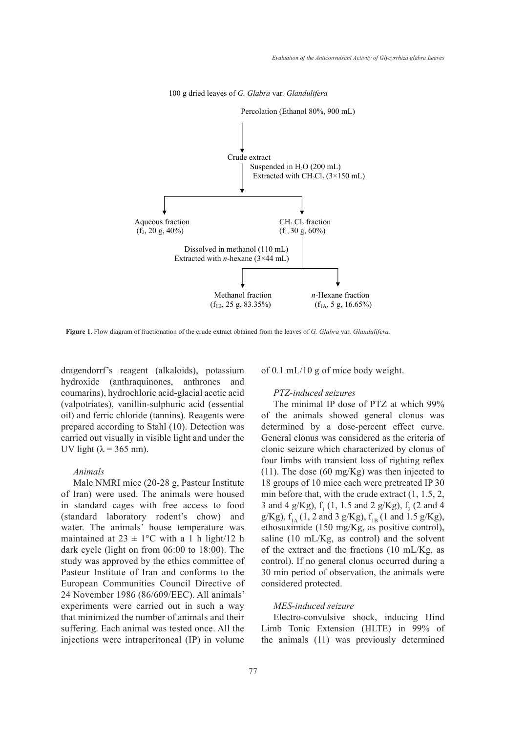

100 g dried leaves of *G. Glabra* var*. Glandulifera* 

var*. Glandulifera.*  **Figure 1.** Flow diagram of fractionation of the crude extract obtained from the leaves of *G. Glabra* var*. Glandulifera.*

dragendorrf's reagent (alkaloids), potassium hydroxide (anthraquinones, anthrones and coumarins), hydrochloric acid-glacial acetic acid PTZ-induced seizures (valpotriates), vanillin-sulphuric acid (essential The minimal IP dose of PTZ at oil) and ferric chloride (tannins). Reagents were prepared according to Stahl (10). Detection was determined by a dose-percent ef carried out visually in visible light and under the UV light ( $\lambda$  = 365 nm). reagent (alkaloids), potassium of  $0.1 \text{ mL}/10 \text{ g}$  of mice body weight.

## *Animals*

Male NMRI mice (20-28 g, Pasteur Institute of Iran) were used. The animals were housed min before that, with the crude extra in standard cages with free access to food (standard laboratory rodent's chow) and water. The animals' house temperature was maintained at  $23 \pm 1$ °C with a 1 h light/12 h saline (10 mL/Kg, as control) and dark cycle (light on from 06:00 to 18:00). The study was approved by the ethics committee of Pasteur Institute of Iran and conforms to the European Communities Council Directive of 24 November 1986 (86/609/EEC). All animals' experiments were carried out in such a way that minimized the number of animals and their suffering. Each animal was tested once. All the injections were intraperitoneal (IP) in volume

#### *PTZ-induced seizures*

The minimal IP dose of PTZ at which 99% of the animals showed general clonus was determined by a dose-percent effect curve. General clonus was considered as the criteria of  $\lambda = 365$  nm). Clonic seizure which characterized by clonus of four limbs with transient loss of righting reflex (11). The dose (60 mg/Kg) was then injected to NMRI mice (20-28 g, Pasteur Institute 18 groups of 10 mice each were pretreated IP 30 min before that, with the crude extract (1, 1.5, 2, 3 and 4 g/Kg),  $f_1$  (1, 1.5 and 2 g/Kg),  $f_2$  (2 and 4 laboratory rodent's chow) and  $g/Kg$ ,  $f_{1A}$  (1, 2 and 3  $g/Kg$ ),  $f_{1B}$  (1 and 1.5  $g/Kg$ ), ethosuximide (150 mg/Kg, as positive control), saline (10 mL/Kg, as control) and the solvent of the extract and the fractions (10 mL/Kg, as control). If no general clonus occurred during a 30 min period of observation, the animals were considered protected.

## *MES-induced seizure*

Electro-convulsive shock, inducing Hind Limb Tonic Extension (HLTE) in 99% of the animals (11) was previously determined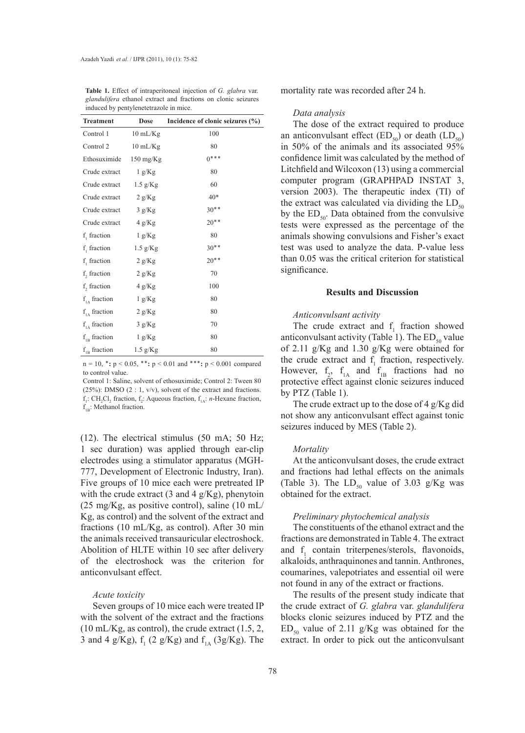| Dose<br><b>Treatment</b>  |                     | Incidence of clonic seizures (%) |  |  |  |
|---------------------------|---------------------|----------------------------------|--|--|--|
| Control 1                 | $10 \text{ mL/Kg}$  | 100                              |  |  |  |
| Control 2                 | $10 \text{ mL/Kg}$  | 80                               |  |  |  |
| Ethosuximide              | $150 \text{ mg/Kg}$ | $0***$                           |  |  |  |
| Crude extract             | 1 g/Kg              | 80                               |  |  |  |
| Crude extract             | $1.5$ g/Kg          | 60                               |  |  |  |
| Crude extract             | 2 g/Kg              | $40*$                            |  |  |  |
| Crude extract             | 3 g/Kg              | $30**$                           |  |  |  |
| Crude extract             | 4 g/Kg              | $20**$                           |  |  |  |
| $f_{1}$ fraction          | 1 g/Kg              | 80                               |  |  |  |
| $f_1$ fraction            | $1.5$ g/Kg          | $30**$                           |  |  |  |
| $f_1$ fraction            | 2 g/Kg              | $20**$                           |  |  |  |
| f, fraction               | 2 g/Kg              | 70                               |  |  |  |
| f, fraction               | 4 g/Kg              | 100                              |  |  |  |
| $f1A$ fraction            | 1 g/Kg              | 80                               |  |  |  |
| $f1A$ fraction            | 2 g/Kg              | 80                               |  |  |  |
| $f1A$ fraction            | 3 g/Kg              | 70                               |  |  |  |
| $f_{IB}$ fraction         | 1 g/Kg              | 80                               |  |  |  |
| $\rm f_{\rm 1B}$ fraction | $1.5$ g/Kg          | 80                               |  |  |  |

**Table 1.** Effect of intraperitoneal injection of *G. glabra* var*. glandulifera* ethanol extract and fractions on clonic seizures induced by pentylenetetrazole in mice.

n = 10, **٭:** p < 0.05, **٭٭:** p < 0.01 and **٭٭٭:** p < 0.001 compared to control value.

Control 1: Saline, solvent of ethosuximide; Control 2: Tween 80 (25%): DMSO (2 : 1,  $v/v$ ), solvent of the extract and fractions.  $f_1$ : CH<sub>2</sub>Cl<sub>2</sub> fraction,  $f_2$ : Aqueous fraction,  $f_{1A}$ : *n*-Hexane fraction,  $f_{1p}$ : Methanol fraction.

(12). The electrical stimulus (50 mA; 50 Hz; 1 sec duration) was applied through ear-clip electrodes using a stimulator apparatus (MGH-777, Development of Electronic Industry, Iran). Five groups of 10 mice each were pretreated IP with the crude extract  $(3 \text{ and } 4 \text{ g/Kg})$ , phenytoin (25 mg/Kg, as positive control), saline (10 mL/ Kg, as control) and the solvent of the extract and fractions (10 mL/Kg, as control). After 30 min the animals received transauricular electroshock. Abolition of HLTE within 10 sec after delivery of the electroshock was the criterion for anticonvulsant effect.

#### *Acute toxicity*

Seven groups of 10 mice each were treated IP with the solvent of the extract and the fractions  $(10 \text{ mL/Kg}, \text{as control})$ , the crude extract  $(1.5, 2, \text{m})$ 3 and 4 g/Kg),  $f_1$  (2 g/Kg) and  $f_{1A}$  (3g/Kg). The mortality rate was recorded after 24 h.

#### *Data analysis*

The dose of the extract required to produce an anticonvulsant effect  $(ED_{50})$  or death  $(LD_{50})$ in 50% of the animals and its associated 95% confidence limit was calculated by the method of Litchfield and Wilcoxon (13) using a commercial computer program (GRAPHPAD INSTAT 3, version 2003). The therapeutic index (TI) of the extract was calculated via dividing the  $LD_{50}$ by the  $ED_{50}$ . Data obtained from the convulsive tests were expressed as the percentage of the animals showing convulsions and Fisher's exact test was used to analyze the data. P-value less than 0.05 was the critical criterion for statistical significance.

## **Results and Discussion**

## *Anticonvulsant activity*

The crude extract and  $f_1$  fraction showed anticonvulsant activity (Table 1). The  $ED_{50}$  value of 2.11 g/Kg and 1.30 g/Kg were obtained for the crude extract and  $f_1$  fraction, respectively. However,  $f_2$ ,  $f_{1A}$  and  $f_{1B}$  fractions had no protective effect against clonic seizures induced by PTZ (Table 1).

The crude extract up to the dose of 4 g/Kg did not show any anticonvulsant effect against tonic seizures induced by MES (Table 2).

#### *Mortality*

At the anticonvulsant doses, the crude extract and fractions had lethal effects on the animals (Table 3). The  $LD_{50}$  value of 3.03 g/Kg was obtained for the extract.

## *Preliminary phytochemical analysis*

The constituents of the ethanol extract and the fractions are demonstrated in Table 4. The extract and  $f_1$  contain triterpenes/sterols, flavonoids, alkaloids, anthraquinones and tannin. Anthrones, coumarines, valepotriates and essential oil were not found in any of the extract or fractions.

The results of the present study indicate that the crude extract of *G. glabra* var. *glandulifera*  blocks clonic seizures induced by PTZ and the  $ED_{50}$  value of 2.11 g/Kg was obtained for the extract. In order to pick out the anticonvulsant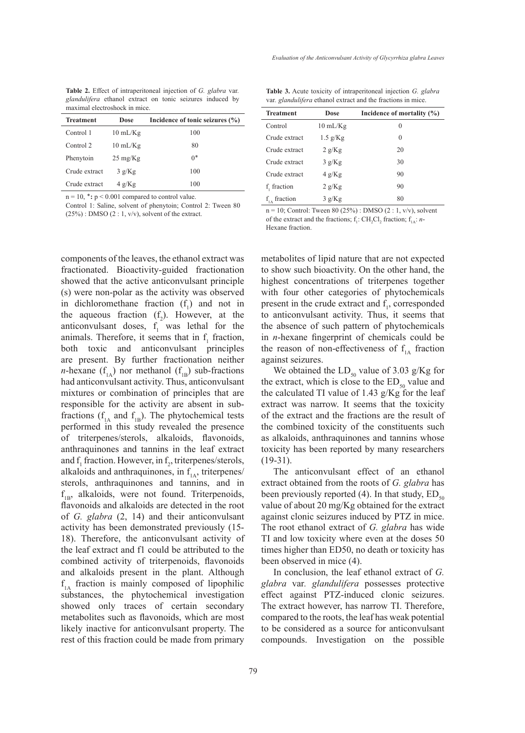| <b>Table 2.</b> Effect of intraperitoneal injection of G. glabra var. |  |  |  |  |  |  |  |
|-----------------------------------------------------------------------|--|--|--|--|--|--|--|
| <i>glandulifera</i> ethanol extract on tonic seizures induced by      |  |  |  |  |  |  |  |
| maximal electroshock in mice.                                         |  |  |  |  |  |  |  |

| <b>Treatment</b> | Dose               | Incidence of tonic seizures (%) |  |  |  |
|------------------|--------------------|---------------------------------|--|--|--|
| Control 1        | $10 \text{ mL/Kg}$ | 100                             |  |  |  |
| Control 2        | $10 \text{ mL/Kg}$ | 80                              |  |  |  |
| Phenytoin        | $25 \text{ mg/Kg}$ | $0^*$                           |  |  |  |
| Crude extract    | 3 g/Kg             | 100                             |  |  |  |
| Crude extract    | 4 g/Kg             | 100                             |  |  |  |

n = 10, **٭:** p < 0.001 compared to control value.

Control 1: Saline, solvent of phenytoin; Control 2: Tween 80  $(25\%)$ : DMSO  $(2:1, v/v)$ , solvent of the extract.

components of the leaves, the ethanol extract was fractionated. Bioactivity-guided fractionation showed that the active anticonvulsant principle (s) were non-polar as the activity was observed in dichloromethane fraction  $(f_1)$  and not in the aqueous fraction  $(f_2)$ . However, at the anticonvulsant doses,  $f_1$  was lethal for the animals. Therefore, it seems that in  $f_1$  fraction, both toxic and anticonvulsant principles are present. By further fractionation neither *n*-hexane  $(f_{1A})$  nor methanol  $(f_{1B})$  sub-fractions had anticonvulsant activity. Thus, anticonvulsant mixtures or combination of principles that are responsible for the activity are absent in subfractions  $(f<sub>1A</sub>$  and  $f<sub>1B</sub>$ ). The phytochemical tests performed in this study revealed the presence of triterpenes/sterols, alkaloids, flavonoids, anthraquinones and tannins in the leaf extract and  $f_1$  fraction. However, in  $f_2$ , triterpenes/sterols, alkaloids and anthraquinones, in  $f_{1A}$ , triterpenes/ sterols, anthraquinones and tannins, and in  $f_{1B}$ , alkaloids, were not found. Triterpenoids, flavonoids and alkaloids are detected in the root of *G. glabra* (2, 14) and their anticonvulsant activity has been demonstrated previously (15- 18). Therefore, the anticonvulsant activity of the leaf extract and f1 could be attributed to the combined activity of triterpenoids, flavonoids and alkaloids present in the plant. Although  $f_{1A}$  fraction is mainly composed of lipophilic substances, the phytochemical investigation showed only traces of certain secondary metabolites such as flavonoids, which are most likely inactive for anticonvulsant property. The rest of this fraction could be made from primary

**Table 3.** Acute toxicity of intraperitoneal injection *G. glabra*  var*. glandulifera* ethanol extract and the fractions in mice.

| <b>Treatment</b> | Dose               | Incidence of mortality $(\% )$ |  |  |  |
|------------------|--------------------|--------------------------------|--|--|--|
| Control          | $10 \text{ mL/Kg}$ | $\theta$                       |  |  |  |
| Crude extract    | $1.5$ g/Kg         | 0                              |  |  |  |
| Crude extract    | 2 g/Kg             | 20                             |  |  |  |
| Crude extract    | 3 g/Kg             | 30                             |  |  |  |
| Crude extract    | 4 g/Kg             | 90                             |  |  |  |
| f, fraction      | 2 g/Kg             | 90                             |  |  |  |
| $f1A$ fraction   | 3 g/Kg             | 80                             |  |  |  |

 $n = 10$ ; Control: Tween 80 (25%) : DMSO (2 : 1, v/v), solvent of the extract and the fractions;  $f_1$ : CH<sub>2</sub>Cl<sub>2</sub> fraction;  $f_{1A}$ : *n*-Hexane fraction.

metabolites of lipid nature that are not expected to show such bioactivity. On the other hand, the highest concentrations of triterpenes together with four other categories of phytochemicals present in the crude extract and  $f_1$ , corresponded to anticonvulsant activity. Thus, it seems that the absence of such pattern of phytochemicals in *n*-hexane fingerprint of chemicals could be the reason of non-effectiveness of  $f<sub>1A</sub>$  fraction against seizures.

We obtained the  $LD_{50}$  value of 3.03 g/Kg for the extract, which is close to the  $ED_{50}$  value and the calculated TI value of 1.43 g/Kg for the leaf extract was narrow. It seems that the toxicity of the extract and the fractions are the result of the combined toxicity of the constituents such as alkaloids, anthraquinones and tannins whose toxicity has been reported by many researchers (19-31).

The anticonvulsant effect of an ethanol extract obtained from the roots of *G. glabra* has been previously reported (4). In that study,  $ED_{50}$ value of about 20 mg/Kg obtained for the extract against clonic seizures induced by PTZ in mice. The root ethanol extract of *G. glabra* has wide TI and low toxicity where even at the doses 50 times higher than ED50, no death or toxicity has been observed in mice (4).

In conclusion, the leaf ethanol extract of *G. glabra* var*. glandulifera* possesses protective effect against PTZ-induced clonic seizures. The extract however, has narrow TI. Therefore, compared to the roots, the leaf has weak potential to be considered as a source for anticonvulsant compounds. Investigation on the possible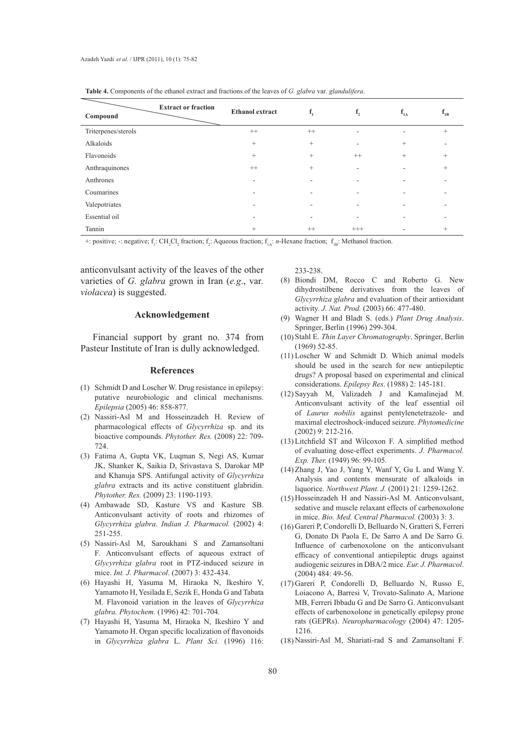| Compound            | <b>Extract or fraction</b> | <b>Ethanol</b> extract | $f_1$                    | f <sub>2</sub> | $f_{IA}$ | $f_{1B}$                 |
|---------------------|----------------------------|------------------------|--------------------------|----------------|----------|--------------------------|
| Triterpenes/sterols |                            | $^{++}$                | $^{++}$                  | ۰              | ٠        | $\qquad \qquad +$        |
| Alkaloids           |                            | $+$                    | $+$                      | -              | $+$      | ٠                        |
| Flavonoids          |                            | $\qquad \qquad +$      | $^{+}$                   | $^{++}$        | $+$      | $^{+}$                   |
| Anthraquinones      |                            | $^{++}$                | $+$                      | ٠              | ۰.       | $^{+}$                   |
| Anthrones           |                            |                        |                          |                |          |                          |
| Coumarines          |                            | -                      | $\overline{\phantom{a}}$ |                | ۰        | $\overline{\phantom{a}}$ |
| Valepotriates       |                            |                        |                          |                |          |                          |
| Essential oil       |                            |                        |                          |                |          |                          |
| Tannin              |                            | $^{+}$                 | $^{++}$                  | $^{+++}$       | ۰        | $^{+}$                   |

**Table 4.** Components of the ethanol extract and fractions of the leaves of *G. glabra* var*. glandulifera*.

+: positive; -: negative;  $f_1$ : CH<sub>2</sub>Cl<sub>2</sub> fraction;  $f_2$ : Aqueous fraction;  $f_{1A}$ : *n*-Hexane fraction;  $f_{1B}$ : Methanol fraction.

anticonvulsant activity of the leaves of the other varieties of *G. glabra* grown in Iran (*e.g*., var*. violacea*) is suggested.

#### **Acknowledgement**

Financial support by grant no. 374 from Pasteur Institute of Iran is dully acknowledged.

#### **References**

- (1) Schmidt D and Loscher W. Drug resistance in epilepsy: putative neurobiologic and clinical mechanisms. *Epilepsia* (2005) 46: 858-877.
- (2) Nassiri-Asl M and Hosseinzadeh H. Review of pharmacological effects of *Glycyrrhiza* sp. and its bioactive compounds. *Phytother. Res.* (2008) 22: 709- 724.
- Fatima A, Gupta VK, Luqman S, Negi AS, Kumar (3) JK, Shanker K, Saikia D, Srivastava S, Darokar MP and Khanuja SPS. Antifungal activity of *Glycyrrhiza glabra* extracts and its active constituent glabridin. *Phytother. Res.* (2009) 23: 1190-1193.
- Ambawade SD, Kasture VS and Kasture SB. (4) Anticonvulsant activity of roots and rhizomes of *Glycyrrhiza glabra*. *Indian J. Pharmacol.* (2002) 4: 251-255.
- Nassiri-Asl M, Saroukhani S and Zamansoltani (5) F. Anticonvulsant effects of aqueous extract of *Glycyrrhiza glabra* root in PTZ-induced seizure in mice. *Int. J. Pharmacol*. (2007) 3: 432-434.
- Hayashi H, Yasuma M, Hiraoka N, Ikeshiro Y, (6) Yamamoto H, Yesilada E, Sezik E, Honda G and Tabata M. Flavonoid variation in the leaves of *Glycyrrhiza glabra. Phytochem.* (1996) 42: 701-704.
- (7) Hayashi H, Yasuma M, Hiraoka N, Ikeshiro Y and Yamamoto H. Organ specific localization of flavonoids in *Glycyrrhiza glabra* L. *Plant Sci.* (1996) 116:

233-238.

- Biondi DM, Rocco C and Roberto G. New (8) dihydrostilbene derivatives from the leaves of *Glycyrrhiza glabra* and evaluation of their antioxidant activity. *J. Nat. Prod.* (2003) 66: 477-480.
- Wagner H and Bladt S. (eds.) *Plant Drug Analysis*. (9) Springer, Berlin (1996) 299-304.
- (10) Stahl E. *Thin Layer Chromatography*. Springer, Berlin (1969) 52-85.
- $(11)$  Loscher W and Schmidt D. Which animal models should be used in the search for new antiepileptic drugs? A proposal based on experimental and clinical considerations. *Epilepsy Res*. (1988) 2: 145-181.
- (12) Sayyah M, Valizadeh J and Kamalinejad M. Anticonvulsant activity of the leaf essential oil of *Laurus nobilis* against pentylenetetrazole- and maximal electroshock-induced seizure. *Phytomedicine* (2002) 9: 212-216.
- $(13)$  Litchfield ST and Wilcoxon F. A simplified method of evaluating dose-effect experiments. *J. Pharmacol. Exp. Ther.* (1949) 96: 99-105*.*
- (14) Zhang J, Yao J, Yang Y, Wanf Y, Gu L and Wang Y. Analysis and contents mensurate of alkaloids in liquorice. *Northwest Plant. J.* (2001) 21: 1259-1262.
- (15) Hosseinzadeh H and Nassiri-Asl M. Anticonvulsant, sedative and muscle relaxant effects of carbenoxolone in mice. *Bio. Med. Central Pharmacol.* (2003) 3: 3.
- Gareri P, Condorelli D, Belluardo N, Gratteri S, Ferreri (16) G, Donato Di Paola E, De Sarro A and De Sarro G. Influence of carbenoxolone on the anticonvulsant efficacy of conventional antiepileptic drugs against audiogenic seizures in DBA/2 mice. *Eur. J. Pharmacol*. (2004) 484: 49-56.
- Gareri P, Condorelli D, Belluardo N, Russo E, (17) Loiacono A, Barresi V, Trovato-Salinato A, Marione MB, Ferreri Ibbadu G and De Sarro G. Anticonvulsant effects of carbenoxolone in genetically epilepsy prone rats (GEPRs). *Neuropharmacology* (2004) 47: 1205- 1216.
- Nassiri-Asl M, Shariati-rad S and Zamansoltani F. (18)